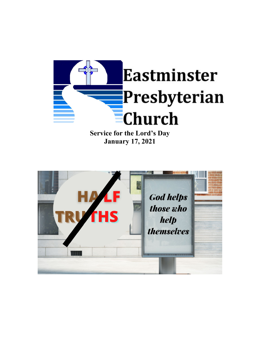

**January 17, 2021**

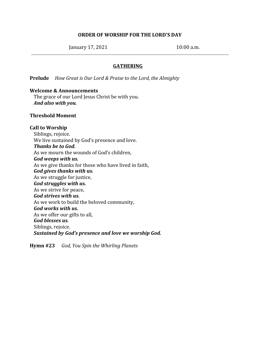### **ORDER OF WORSHIP FOR THE LORD'S DAY**

January 17, 2021 10:00 a.m.

### **GATHERING**

**Prelude** *How Great is Our Lord & Praise to the Lord, the Almighty*

#### **Welcome & Announcements**

The grace of our Lord Jesus Christ be with you. *And also with you.*

#### **Threshold Moment**

### **Call to Worship**

Siblings, rejoice. We live sustained by God's presence and love. *Thanks be to God.* As we mourn the wounds of God's children, *God weeps with us.* As we give thanks for those who have lived in faith, *God gives thanks with us.* As we struggle for justice, *God struggles with us.* As we strive for peace, *God strives with us.* As we work to build the beloved community, *God works with us.* As we offer our gifts to all, *God blesses us.* Siblings, rejoice. *Sustained by God's presence and love we worship God.*

**Hymn #23** *God, You Spin the Whirling Planets*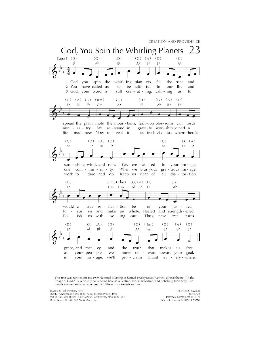

This text was written for the 1979 National Meeting of United Presbyterian Women, whose theme, "In the Image of God, " is variously considered here as reflection, focus, distortion, and polishing for clarity. The words are well set to an anonymous 19th-century American tune.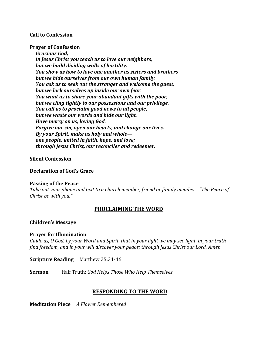### **Call to Confession**

**Prayer of Confession**

*Gracious God, in Jesus Christ you teach us to love our neighbors, but we build dividing walls of hostility. You show us how to love one another as sisters and brothers but we hide ourselves from our own human family. You ask us to seek out the stranger and welcome the guest, but we lock ourselves up inside our own fear. You want us to share your abundant gifts with the poor, but we cling tightly to our possessions and our privilege. You call us to proclaim good news to all people, but we waste our words and hide our light. Have mercy on us, loving God. Forgive our sin, open our hearts, and change our lives. By your Spirit, make us holy and whole one people, united in faith, hope, and love; through Jesus Christ, our reconciler and redeemer.*

### **Silent Confession**

### **Declaration of God's Grace**

### **Passing of the Peace**

*Take out your phone and text to a church member, friend or family member - "The Peace of Christ be with you."*

### **PROCLAIMING THE WORD**

### **Children's Message**

### **Prayer for Illumination**

*Guide us, O God, by your Word and Spirit, that in your light we may see light, in your truth find freedom, and in your will discover your peace; through Jesus Christ our Lord. Amen.*

**Scripture Reading** Matthew 25:31-46

**Sermon** Half Truth: *God Helps Those Who Help Themselves*

# **RESPONDING TO THE WORD**

**Meditation Piece** *A Flower Remembered*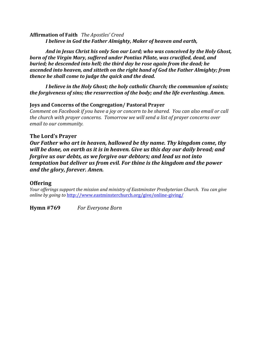**Affirmation of Faith** *The Apostles' Creed I believe in God the Father Almighty, Maker of heaven and earth,*

*And in Jesus Christ his only Son our Lord; who was conceived by the Holy Ghost, born of the Virgin Mary, suffered under Pontius Pilate, was crucified, dead, and buried; he descended into hell; the third day he rose again from the dead; he ascended into heaven, and sitteth on the right hand of God the Father Almighty; from thence he shall come to judge the quick and the dead.*

*I believe in the Holy Ghost; the holy catholic Church; the communion of saints; the forgiveness of sins; the resurrection of the body; and the life everlasting. Amen.*

# **Joys and Concerns of the Congregation/ Pastoral Prayer**

*Comment on Facebook if you have a joy or concern to be shared. You can also email or call the church with prayer concerns. Tomorrow we will send a list of prayer concerns over email to our community.*

## **The Lord's Prayer**

*Our Father who art in heaven, hallowed be thy name. Thy kingdom come, thy will be done, on earth as it is in heaven. Give us this day our daily bread; and forgive us our debts, as we forgive our debtors; and lead us not into temptation but deliver us from evil. For thine is the kingdom and the power and the glory, forever. Amen.*

# **Offering**

*Your of erings support the mission and ministry of Eastminster Presbyterian Church. You can give online by going to* <http://www.eastminsterchurch.org/give/online-giving/>

**Hymn #769** *For Everyone Born*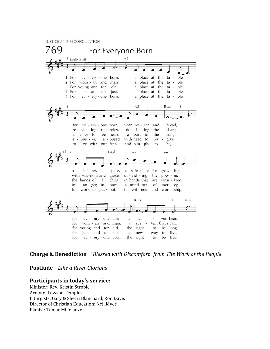**JUSTICE AND RECONCILIATION** 



## **Charge & Benediction "***Blessed with Discomfort" from The Work of the People*

**Postlude** *Like a River Glorious*

#### **Participants in today's service:**

Minister: Rev. Kristin Stroble Acolyte: Lawson Temples Liturgists: Gary & Sherri Blanchard, Ron Davis Director of Christian Education: Neil Myer Pianist: Tamar Mikeladze